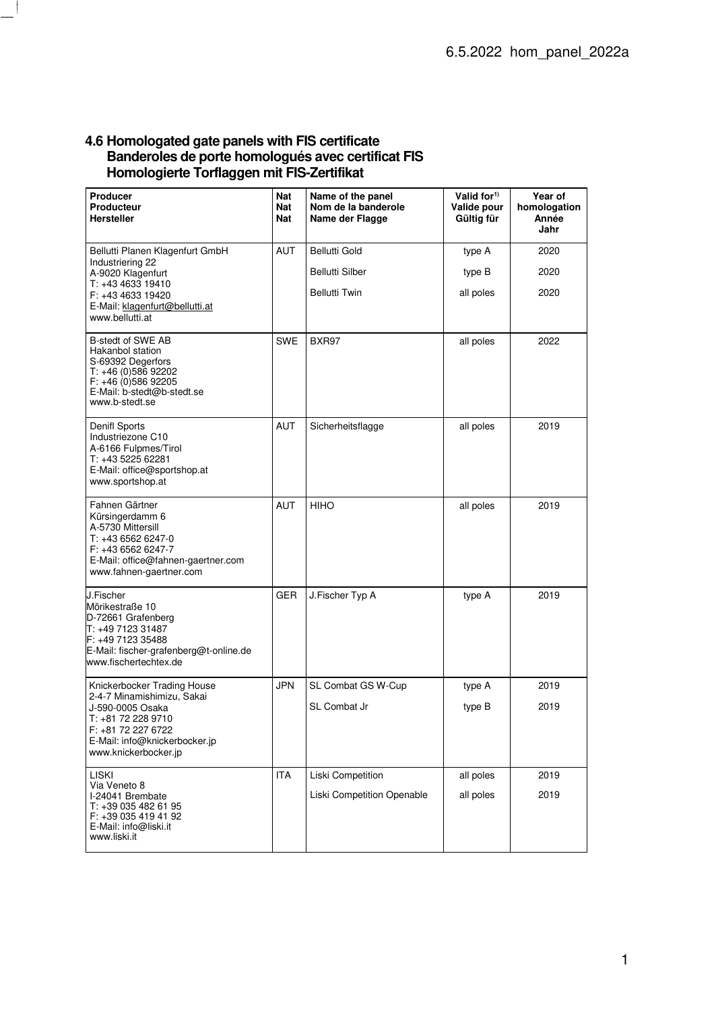## **4.6 Homologated gate panels with FIS certificate Banderoles de porte homologués avec certificat FIS Homologierte Torflaggen mit FIS-Zertifikat**

| Producer<br><b>Producteur</b><br><b>Hersteller</b>                                                                                                                                 | Nat<br>Nat<br>Nat | Name of the panel<br>Nom de la banderole<br>Name der Flagge | Valid for <sup>1)</sup><br>Valide pour<br>Gültig für | Year of<br>homologation<br>Année<br>Jahr |
|------------------------------------------------------------------------------------------------------------------------------------------------------------------------------------|-------------------|-------------------------------------------------------------|------------------------------------------------------|------------------------------------------|
| Bellutti Planen Klagenfurt GmbH<br>Industriering 22<br>A-9020 Klagenfurt<br>T: +43 4633 19410<br>F: +43 4633 19420<br>E-Mail: klagenfurt@bellutti.at<br>www.bellutti.at            | AUT               | <b>Bellutti Gold</b>                                        | type A                                               | 2020                                     |
|                                                                                                                                                                                    |                   | <b>Bellutti Silber</b>                                      | type B                                               | 2020                                     |
|                                                                                                                                                                                    |                   | <b>Bellutti Twin</b>                                        | all poles                                            | 2020                                     |
| B-stedt of SWE AB<br>Hakanbol station<br>S-69392 Degerfors<br>T: +46 (0)586 92202<br>$F: +46(0)58692205$<br>E-Mail: b-stedt@b-stedt.se<br>www.b-stedt.se                           | <b>SWE</b>        | BXR97                                                       | all poles                                            | 2022                                     |
| Denifl Sports<br>Industriezone C10<br>A-6166 Fulpmes/Tirol<br>T: +43 5225 62281<br>E-Mail: office@sportshop.at<br>www.sportshop.at                                                 | AUT               | Sicherheitsflagge                                           | all poles                                            | 2019                                     |
| Fahnen Gärtner<br>Kürsingerdamm 6<br>A-5730 Mittersill<br>T: +43 6562 6247-0<br>F: +43 6562 6247-7<br>E-Mail: office@fahnen-gaertner.com<br>www.fahnen-gaertner.com                | AUT               | <b>HIHO</b>                                                 | all poles                                            | 2019                                     |
| J.Fischer<br>Mörikestraße 10<br>D-72661 Grafenberg<br>T: +49 7123 31487<br>F: +49 7123 35488<br>E-Mail: fischer-grafenberg@t-online.de<br>www.fischertechtex.de                    | GER               | J.Fischer Typ A                                             | type A                                               | 2019                                     |
| Knickerbocker Trading House<br>2-4-7 Minamishimizu, Sakai<br>J-590-0005 Osaka<br>T: +81 72 228 9710<br>F: +81 72 227 6722<br>E-Mail: info@knickerbocker.jp<br>www.knickerbocker.jp | <b>JPN</b>        | SL Combat GS W-Cup                                          | type A                                               | 2019                                     |
|                                                                                                                                                                                    |                   | <b>SL Combat Jr</b>                                         | type B                                               | 2019                                     |
| <b>LISKI</b><br>Via Veneto 8<br>I-24041 Brembate<br>T: +39 035 482 61 95<br>F: +39 035 419 41 92<br>E-Mail: info@liski.it<br>www.liski.it                                          | <b>ITA</b>        | Liski Competition                                           | all poles                                            | 2019                                     |
|                                                                                                                                                                                    |                   | Liski Competition Openable                                  | all poles                                            | 2019                                     |